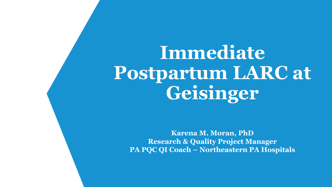**Immediate Postpartum LARC at Geisinger**

**Karena M. Moran, PhD Research & Quality Project Manager PA PQC QI Coach – Northeastern PA Hospitals**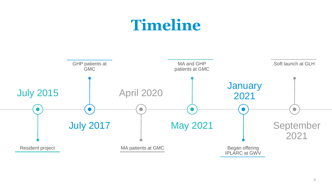## **Timeline**

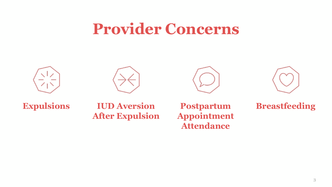## **Provider Concerns**









**Expulsions IUD Aversion After Expulsion**

**Postpartum Appointment Attendance**

**Breastfeeding**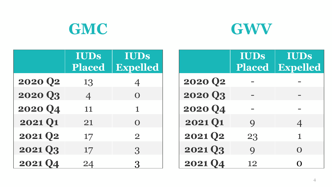



|                     | <b>IUDs</b><br>Placed | IUDS<br><b>Expelled</b> |
|---------------------|-----------------------|-------------------------|
| 2020 Q <sub>2</sub> | 13                    | $\overline{4}$          |
| 2020 Q3             | $\overline{4}$        | $\Omega$                |
| 2020 Q4             | 11                    | 1                       |
| 2021 Q1             | 21                    | $\Omega$                |
| 2021 Q2             | 17                    | $\overline{2}$          |
| 2021 Q3             | 17                    | 3                       |
| <b>2021 Q4</b>      | 24                    | $\Omega$                |

|                | IUDS<br>Placed | IUDS<br><b>Expelled</b> |
|----------------|----------------|-------------------------|
| <b>2020 Q2</b> |                |                         |
| 2020 Q3        |                |                         |
| 2020 Q4        |                |                         |
| 2021 Q1        | $\mathbf Q$    | $\overline{4}$          |
| 2021 Q2        | 23             | $\mathbf 1$             |
| 2021 Q3        | $\mathbf Q$    | O                       |
| <b>2021 Q4</b> | 12             | ∩                       |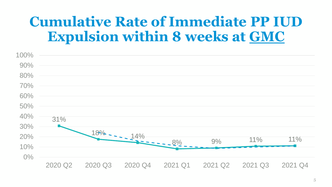## **Cumulative Rate of Immediate PP IUD Expulsion within 8 weeks at GMC**

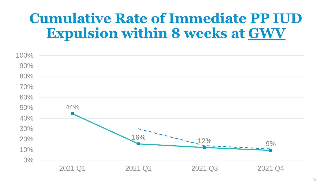## **Cumulative Rate of Immediate PP IUD Expulsion within 8 weeks at GWV**

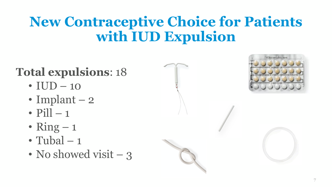## **New Contraceptive Choice for Patients with IUD Expulsion**

## **Total expulsions**: 18

- $IUD 10$
- Implant  $-2$
- $P[1] 1$
- Ring  $-1$
- Tubal  $-1$
- No showed visit 3

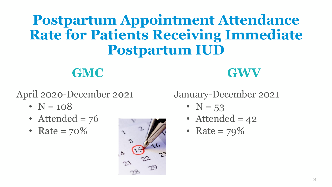## **Postpartum Appointment Attendance Rate for Patients Receiving Immediate Postpartum IUD**

**GMC GWV**

April 2020-December 2021

- $N = 108$
- Attended  $= 76$
- Rate =  $70\%$



### January-December 2021

- $N = 53$
- Attended  $= 42$
- Rate =  $79\%$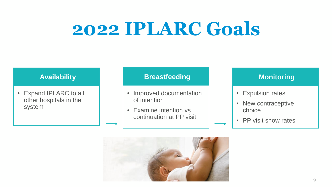# **2022 IPLARC Goals**

• Expand IPLARC to all other hospitals in the system

#### **Availability Breastfeeding**

- Improved documentation of intention
- Examine intention vs. continuation at PP visit

#### **Monitoring**

- Expulsion rates
- New contraceptive choice
- PP visit show rates